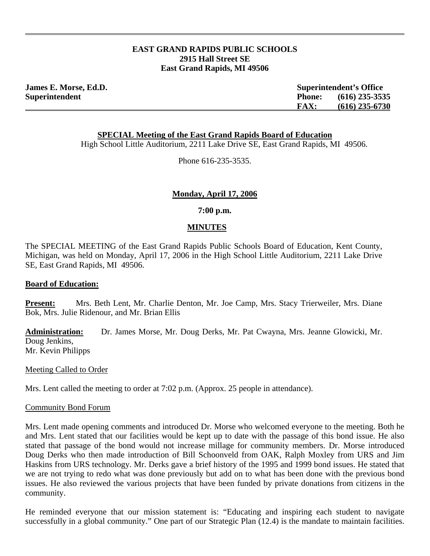# **EAST GRAND RAPIDS PUBLIC SCHOOLS 2915 Hall Street SE East Grand Rapids, MI 49506**

**James E. Morse, Ed.D. Superintendent's Office Superintendent Phone: (616) 235-3535 FAX: (616) 235-6730**

**SPECIAL Meeting of the East Grand Rapids Board of Education**

High School Little Auditorium, 2211 Lake Drive SE, East Grand Rapids, MI 49506.

Phone 616-235-3535.

## **Monday, April 17, 2006**

**7:00 p.m.** 

## **MINUTES**

The SPECIAL MEETING of the East Grand Rapids Public Schools Board of Education, Kent County, Michigan, was held on Monday, April 17, 2006 in the High School Little Auditorium, 2211 Lake Drive SE, East Grand Rapids, MI 49506.

#### **Board of Education:**

**Present:** Mrs. Beth Lent, Mr. Charlie Denton, Mr. Joe Camp, Mrs. Stacy Trierweiler, Mrs. Diane Bok, Mrs. Julie Ridenour, and Mr. Brian Ellis

**Administration:** Dr. James Morse, Mr. Doug Derks, Mr. Pat Cwayna, Mrs. Jeanne Glowicki, Mr. Doug Jenkins, Mr. Kevin Philipps

Meeting Called to Order

Mrs. Lent called the meeting to order at 7:02 p.m. (Approx. 25 people in attendance).

#### Community Bond Forum

Mrs. Lent made opening comments and introduced Dr. Morse who welcomed everyone to the meeting. Both he and Mrs. Lent stated that our facilities would be kept up to date with the passage of this bond issue. He also stated that passage of the bond would not increase millage for community members. Dr. Morse introduced Doug Derks who then made introduction of Bill Schoonveld from OAK, Ralph Moxley from URS and Jim Haskins from URS technology. Mr. Derks gave a brief history of the 1995 and 1999 bond issues. He stated that we are not trying to redo what was done previously but add on to what has been done with the previous bond issues. He also reviewed the various projects that have been funded by private donations from citizens in the community.

He reminded everyone that our mission statement is: "Educating and inspiring each student to navigate successfully in a global community." One part of our Strategic Plan (12.4) is the mandate to maintain facilities.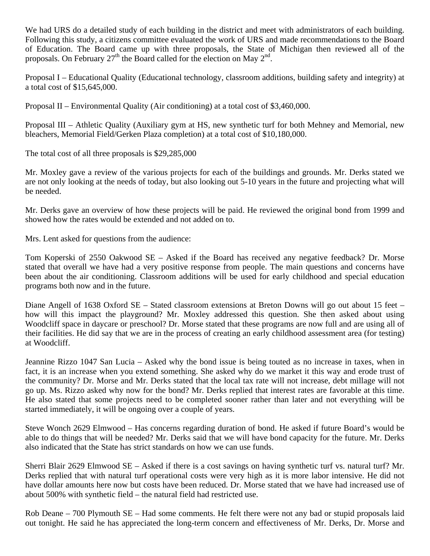We had URS do a detailed study of each building in the district and meet with administrators of each building. Following this study, a citizens committee evaluated the work of URS and made recommendations to the Board of Education. The Board came up with three proposals, the State of Michigan then reviewed all of the proposals. On February  $27<sup>th</sup>$  the Board called for the election on May  $2<sup>nd</sup>$ .

Proposal I – Educational Quality (Educational technology, classroom additions, building safety and integrity) at a total cost of \$15,645,000.

Proposal II – Environmental Quality (Air conditioning) at a total cost of \$3,460,000.

Proposal III – Athletic Quality (Auxiliary gym at HS, new synthetic turf for both Mehney and Memorial, new bleachers, Memorial Field/Gerken Plaza completion) at a total cost of \$10,180,000.

The total cost of all three proposals is \$29,285,000

Mr. Moxley gave a review of the various projects for each of the buildings and grounds. Mr. Derks stated we are not only looking at the needs of today, but also looking out 5-10 years in the future and projecting what will be needed.

Mr. Derks gave an overview of how these projects will be paid. He reviewed the original bond from 1999 and showed how the rates would be extended and not added on to.

Mrs. Lent asked for questions from the audience:

Tom Koperski of 2550 Oakwood SE – Asked if the Board has received any negative feedback? Dr. Morse stated that overall we have had a very positive response from people. The main questions and concerns have been about the air conditioning. Classroom additions will be used for early childhood and special education programs both now and in the future.

Diane Angell of 1638 Oxford SE – Stated classroom extensions at Breton Downs will go out about 15 feet – how will this impact the playground? Mr. Moxley addressed this question. She then asked about using Woodcliff space in daycare or preschool? Dr. Morse stated that these programs are now full and are using all of their facilities. He did say that we are in the process of creating an early childhood assessment area (for testing) at Woodcliff.

Jeannine Rizzo 1047 San Lucia – Asked why the bond issue is being touted as no increase in taxes, when in fact, it is an increase when you extend something. She asked why do we market it this way and erode trust of the community? Dr. Morse and Mr. Derks stated that the local tax rate will not increase, debt millage will not go up. Ms. Rizzo asked why now for the bond? Mr. Derks replied that interest rates are favorable at this time. He also stated that some projects need to be completed sooner rather than later and not everything will be started immediately, it will be ongoing over a couple of years.

Steve Wonch 2629 Elmwood – Has concerns regarding duration of bond. He asked if future Board's would be able to do things that will be needed? Mr. Derks said that we will have bond capacity for the future. Mr. Derks also indicated that the State has strict standards on how we can use funds.

Sherri Blair 2629 Elmwood SE – Asked if there is a cost savings on having synthetic turf vs. natural turf? Mr. Derks replied that with natural turf operational costs were very high as it is more labor intensive. He did not have dollar amounts here now but costs have been reduced. Dr. Morse stated that we have had increased use of about 500% with synthetic field – the natural field had restricted use.

Rob Deane – 700 Plymouth SE – Had some comments. He felt there were not any bad or stupid proposals laid out tonight. He said he has appreciated the long-term concern and effectiveness of Mr. Derks, Dr. Morse and